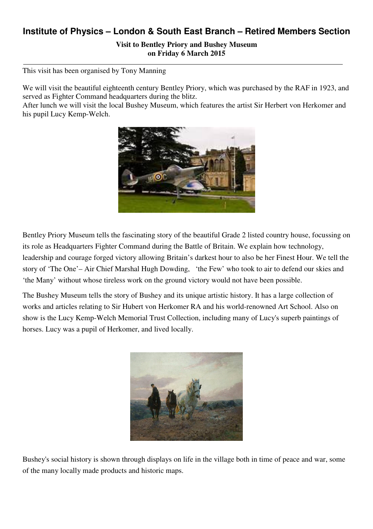## **Institute of Physics – London & South East Branch – Retired Members Section**

**Visit to Bentley Priory and Bushey Museum on Friday 6 March 2015** 

This visit has been organised by Tony Manning

We will visit the beautiful eighteenth century Bentley Priory, which was purchased by the RAF in 1923, and served as Fighter Command headquarters during the blitz.

After lunch we will visit the local Bushey Museum, which features the artist Sir Herbert von Herkomer and his pupil Lucy Kemp-Welch.



Bentley Priory Museum tells the fascinating story of the beautiful Grade 2 listed country house, focussing on its role as Headquarters Fighter Command during the Battle of Britain. We explain how technology, leadership and courage forged victory allowing Britain's darkest hour to also be her Finest Hour. We tell the story of 'The One'– Air Chief Marshal Hugh Dowding, 'the Few' who took to air to defend our skies and 'the Many' without whose tireless work on the ground victory would not have been possible.

The Bushey Museum tells the story of Bushey and its unique artistic history. It has a large collection of works and articles relating to Sir Hubert von Herkomer RA and his world-renowned Art School. Also on show is the Lucy Kemp-Welch Memorial Trust Collection, including many of Lucy's superb paintings of horses. Lucy was a pupil of Herkomer, and lived locally.



Bushey's social history is shown through displays on life in the village both in time of peace and war, some of the many locally made products and historic maps.